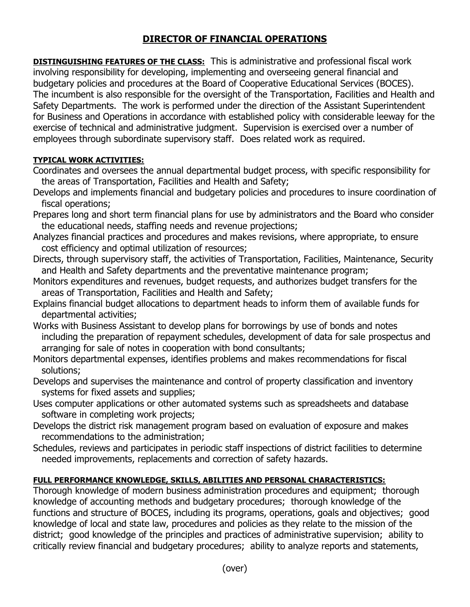## **DIRECTOR OF FINANCIAL OPERATIONS**

**DISTINGUISHING FEATURES OF THE CLASS:** This is administrative and professional fiscal work involving responsibility for developing, implementing and overseeing general financial and budgetary policies and procedures at the Board of Cooperative Educational Services (BOCES). The incumbent is also responsible for the oversight of the Transportation, Facilities and Health and Safety Departments. The work is performed under the direction of the Assistant Superintendent for Business and Operations in accordance with established policy with considerable leeway for the exercise of technical and administrative judgment. Supervision is exercised over a number of employees through subordinate supervisory staff. Does related work as required.

## **TYPICAL WORK ACTIVITIES:**

- Coordinates and oversees the annual departmental budget process, with specific responsibility for the areas of Transportation, Facilities and Health and Safety;
- Develops and implements financial and budgetary policies and procedures to insure coordination of fiscal operations;
- Prepares long and short term financial plans for use by administrators and the Board who consider the educational needs, staffing needs and revenue projections;
- Analyzes financial practices and procedures and makes revisions, where appropriate, to ensure cost efficiency and optimal utilization of resources;
- Directs, through supervisory staff, the activities of Transportation, Facilities, Maintenance, Security and Health and Safety departments and the preventative maintenance program;
- Monitors expenditures and revenues, budget requests, and authorizes budget transfers for the areas of Transportation, Facilities and Health and Safety;
- Explains financial budget allocations to department heads to inform them of available funds for departmental activities;
- Works with Business Assistant to develop plans for borrowings by use of bonds and notes including the preparation of repayment schedules, development of data for sale prospectus and arranging for sale of notes in cooperation with bond consultants;
- Monitors departmental expenses, identifies problems and makes recommendations for fiscal solutions;
- Develops and supervises the maintenance and control of property classification and inventory systems for fixed assets and supplies;
- Uses computer applications or other automated systems such as spreadsheets and database software in completing work projects;
- Develops the district risk management program based on evaluation of exposure and makes recommendations to the administration;
- Schedules, reviews and participates in periodic staff inspections of district facilities to determine needed improvements, replacements and correction of safety hazards.

## **FULL PERFORMANCE KNOWLEDGE, SKILLS, ABILITIES AND PERSONAL CHARACTERISTICS:**

Thorough knowledge of modern business administration procedures and equipment; thorough knowledge of accounting methods and budgetary procedures; thorough knowledge of the functions and structure of BOCES, including its programs, operations, goals and objectives; good knowledge of local and state law, procedures and policies as they relate to the mission of the district; good knowledge of the principles and practices of administrative supervision; ability to critically review financial and budgetary procedures; ability to analyze reports and statements,